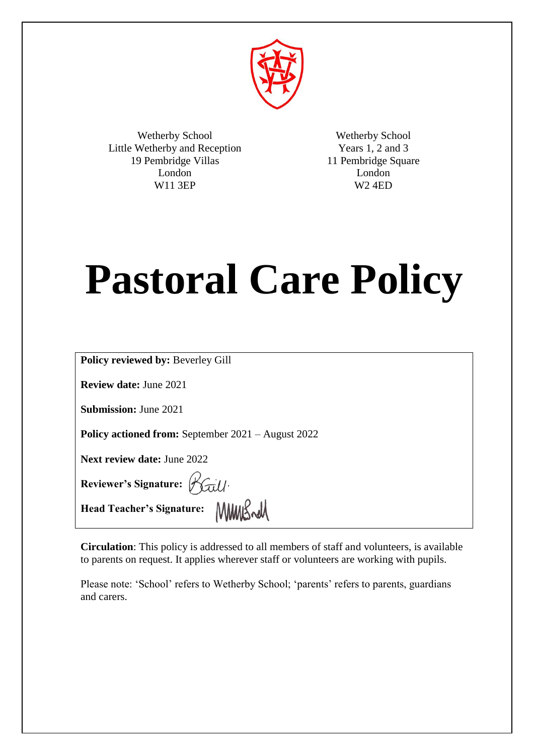

Wetherby School Little Wetherby and Reception 19 Pembridge Villas London W11 3EP

Wetherby School Years 1, 2 and 3 11 Pembridge Square London W2 4ED

# **Pastoral Care Policy**

| <b>Policy reviewed by: Beverley Gill</b>                  |
|-----------------------------------------------------------|
| <b>Review date: June 2021</b>                             |
| <b>Submission:</b> June 2021                              |
| <b>Policy actioned from:</b> September 2021 – August 2022 |
| <b>Next review date: June 2022</b>                        |
| Reviewer's Signature: Raill.                              |
| Head Teacher's Signature: MMMSwall                        |

**Circulation**: This policy is addressed to all members of staff and volunteers, is available to parents on request. It applies wherever staff or volunteers are working with pupils.

Please note: 'School' refers to Wetherby School; 'parents' refers to parents, guardians and carers.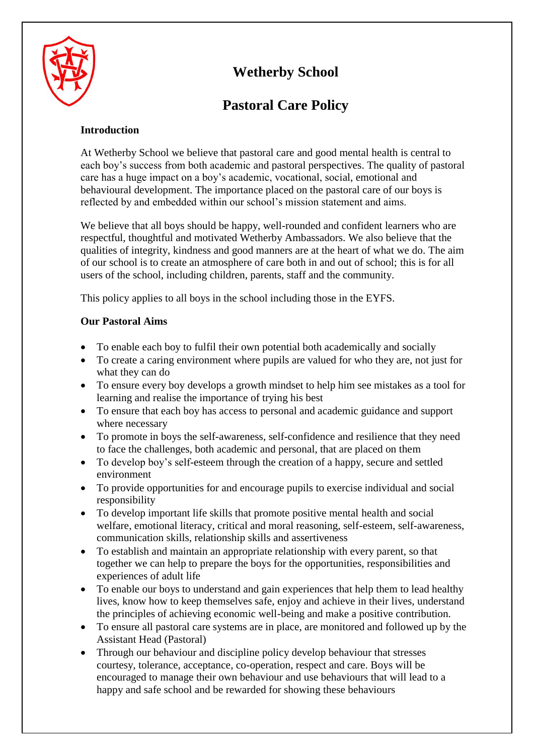

# **Wetherby School**

# **Pastoral Care Policy**

# **Introduction**

At Wetherby School we believe that pastoral care and good mental health is central to each boy's success from both academic and pastoral perspectives. The quality of pastoral care has a huge impact on a boy's academic, vocational, social, emotional and behavioural development. The importance placed on the pastoral care of our boys is reflected by and embedded within our school's mission statement and aims.

We believe that all boys should be happy, well-rounded and confident learners who are respectful, thoughtful and motivated Wetherby Ambassadors. We also believe that the qualities of integrity, kindness and good manners are at the heart of what we do. The aim of our school is to create an atmosphere of care both in and out of school; this is for all users of the school, including children, parents, staff and the community.

This policy applies to all boys in the school including those in the EYFS.

# **Our Pastoral Aims**

- To enable each boy to fulfil their own potential both academically and socially
- To create a caring environment where pupils are valued for who they are, not just for what they can do
- To ensure every boy develops a growth mindset to help him see mistakes as a tool for learning and realise the importance of trying his best
- To ensure that each boy has access to personal and academic guidance and support where necessary
- To promote in boys the self-awareness, self-confidence and resilience that they need to face the challenges, both academic and personal, that are placed on them
- To develop boy's self-esteem through the creation of a happy, secure and settled environment
- To provide opportunities for and encourage pupils to exercise individual and social responsibility
- To develop important life skills that promote positive mental health and social welfare, emotional literacy, critical and moral reasoning, self-esteem, self-awareness, communication skills, relationship skills and assertiveness
- To establish and maintain an appropriate relationship with every parent, so that together we can help to prepare the boys for the opportunities, responsibilities and experiences of adult life
- To enable our boys to understand and gain experiences that help them to lead healthy lives, know how to keep themselves safe, enjoy and achieve in their lives, understand the principles of achieving economic well-being and make a positive contribution.
- To ensure all pastoral care systems are in place, are monitored and followed up by the Assistant Head (Pastoral)
- Through our behaviour and discipline policy develop behaviour that stresses courtesy, tolerance, acceptance, co-operation, respect and care. Boys will be encouraged to manage their own behaviour and use behaviours that will lead to a happy and safe school and be rewarded for showing these behaviours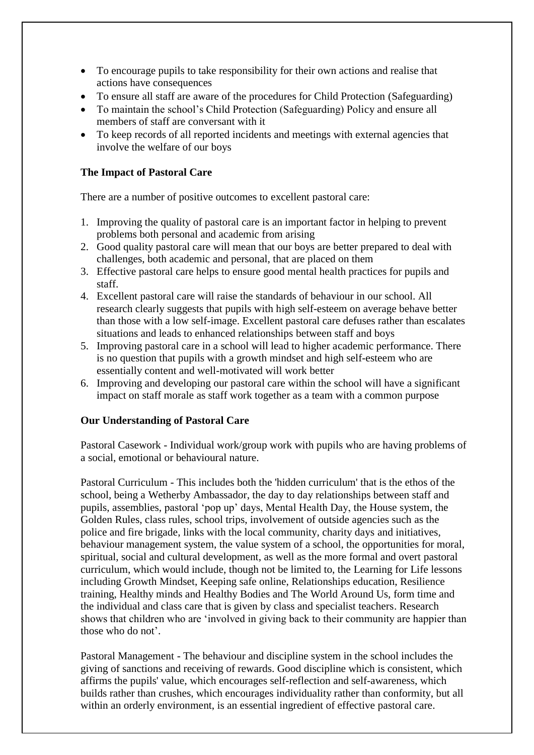- To encourage pupils to take responsibility for their own actions and realise that actions have consequences
- To ensure all staff are aware of the procedures for Child Protection (Safeguarding)
- To maintain the school's Child Protection (Safeguarding) Policy and ensure all members of staff are conversant with it
- To keep records of all reported incidents and meetings with external agencies that involve the welfare of our boys

# **The Impact of Pastoral Care**

There are a number of positive outcomes to excellent pastoral care:

- 1. Improving the quality of pastoral care is an important factor in helping to prevent problems both personal and academic from arising
- 2. Good quality pastoral care will mean that our boys are better prepared to deal with challenges, both academic and personal, that are placed on them
- 3. Effective pastoral care helps to ensure good mental health practices for pupils and staff.
- 4. Excellent pastoral care will raise the standards of behaviour in our school. All research clearly suggests that pupils with high self-esteem on average behave better than those with a low self-image. Excellent pastoral care defuses rather than escalates situations and leads to enhanced relationships between staff and boys
- 5. Improving pastoral care in a school will lead to higher academic performance. There is no question that pupils with a growth mindset and high self-esteem who are essentially content and well-motivated will work better
- 6. Improving and developing our pastoral care within the school will have a significant impact on staff morale as staff work together as a team with a common purpose

# **Our Understanding of Pastoral Care**

Pastoral Casework - Individual work/group work with pupils who are having problems of a social, emotional or behavioural nature.

Pastoral Curriculum - This includes both the 'hidden curriculum' that is the ethos of the school, being a Wetherby Ambassador, the day to day relationships between staff and pupils, assemblies, pastoral 'pop up' days, Mental Health Day, the House system, the Golden Rules, class rules, school trips, involvement of outside agencies such as the police and fire brigade, links with the local community, charity days and initiatives, behaviour management system, the value system of a school, the opportunities for moral, spiritual, social and cultural development, as well as the more formal and overt pastoral curriculum, which would include, though not be limited to, the Learning for Life lessons including Growth Mindset, Keeping safe online, Relationships education, Resilience training, Healthy minds and Healthy Bodies and The World Around Us, form time and the individual and class care that is given by class and specialist teachers. Research shows that children who are 'involved in giving back to their community are happier than those who do not'.

Pastoral Management - The behaviour and discipline system in the school includes the giving of sanctions and receiving of rewards. Good discipline which is consistent, which affirms the pupils' value, which encourages self-reflection and self-awareness, which builds rather than crushes, which encourages individuality rather than conformity, but all within an orderly environment, is an essential ingredient of effective pastoral care.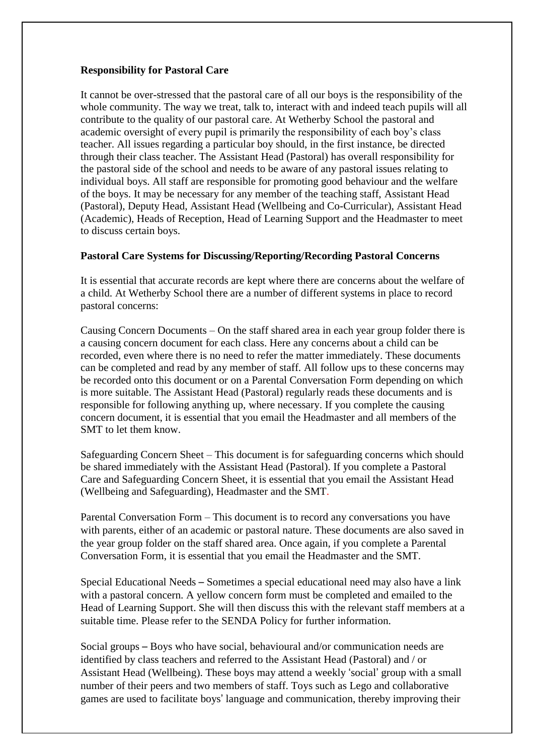# **Responsibility for Pastoral Care**

It cannot be over-stressed that the pastoral care of all our boys is the responsibility of the whole community. The way we treat, talk to, interact with and indeed teach pupils will all contribute to the quality of our pastoral care. At Wetherby School the pastoral and academic oversight of every pupil is primarily the responsibility of each boy's class teacher. All issues regarding a particular boy should, in the first instance, be directed through their class teacher. The Assistant Head (Pastoral) has overall responsibility for the pastoral side of the school and needs to be aware of any pastoral issues relating to individual boys. All staff are responsible for promoting good behaviour and the welfare of the boys. It may be necessary for any member of the teaching staff, Assistant Head (Pastoral), Deputy Head, Assistant Head (Wellbeing and Co-Curricular), Assistant Head (Academic), Heads of Reception, Head of Learning Support and the Headmaster to meet to discuss certain boys.

#### **Pastoral Care Systems for Discussing/Reporting/Recording Pastoral Concerns**

It is essential that accurate records are kept where there are concerns about the welfare of a child. At Wetherby School there are a number of different systems in place to record pastoral concerns:

Causing Concern Documents – On the staff shared area in each year group folder there is a causing concern document for each class. Here any concerns about a child can be recorded, even where there is no need to refer the matter immediately. These documents can be completed and read by any member of staff. All follow ups to these concerns may be recorded onto this document or on a Parental Conversation Form depending on which is more suitable. The Assistant Head (Pastoral) regularly reads these documents and is responsible for following anything up, where necessary. If you complete the causing concern document, it is essential that you email the Headmaster and all members of the SMT to let them know.

Safeguarding Concern Sheet – This document is for safeguarding concerns which should be shared immediately with the Assistant Head (Pastoral). If you complete a Pastoral Care and Safeguarding Concern Sheet, it is essential that you email the Assistant Head (Wellbeing and Safeguarding), Headmaster and the SMT.

Parental Conversation Form – This document is to record any conversations you have with parents, either of an academic or pastoral nature. These documents are also saved in the year group folder on the staff shared area. Once again, if you complete a Parental Conversation Form, it is essential that you email the Headmaster and the SMT.

Special Educational Needs – Sometimes a special educational need may also have a link with a pastoral concern. A yellow concern form must be completed and emailed to the Head of Learning Support. She will then discuss this with the relevant staff members at a suitable time. Please refer to the SENDA Policy for further information.

Social groups – Boys who have social, behavioural and/or communication needs are identified by class teachers and referred to the Assistant Head (Pastoral) and / or Assistant Head (Wellbeing). These boys may attend a weekly 'social' group with a small number of their peers and two members of staff. Toys such as Lego and collaborative games are used to facilitate boys' language and communication, thereby improving their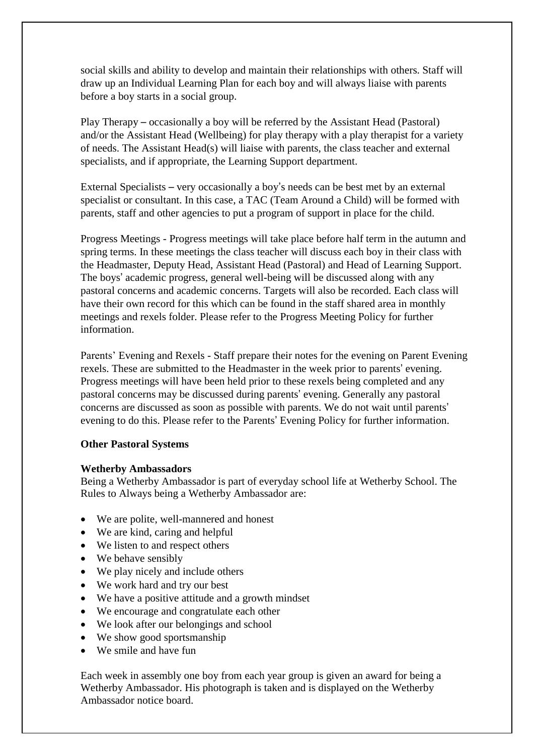social skills and ability to develop and maintain their relationships with others. Staff will draw up an Individual Learning Plan for each boy and will always liaise with parents before a boy starts in a social group.

Play Therapy – occasionally a boy will be referred by the Assistant Head (Pastoral) and/or the Assistant Head (Wellbeing) for play therapy with a play therapist for a variety of needs. The Assistant Head(s) will liaise with parents, the class teacher and external specialists, and if appropriate, the Learning Support department.

External Specialists – very occasionally a boy's needs can be best met by an external specialist or consultant. In this case, a TAC (Team Around a Child) will be formed with parents, staff and other agencies to put a program of support in place for the child.

Progress Meetings - Progress meetings will take place before half term in the autumn and spring terms. In these meetings the class teacher will discuss each boy in their class with the Headmaster, Deputy Head, Assistant Head (Pastoral) and Head of Learning Support. The boys' academic progress, general well-being will be discussed along with any pastoral concerns and academic concerns. Targets will also be recorded. Each class will have their own record for this which can be found in the staff shared area in monthly meetings and rexels folder. Please refer to the Progress Meeting Policy for further information.

Parents' Evening and Rexels - Staff prepare their notes for the evening on Parent Evening rexels. These are submitted to the Headmaster in the week prior to parents' evening. Progress meetings will have been held prior to these rexels being completed and any pastoral concerns may be discussed during parents' evening. Generally any pastoral concerns are discussed as soon as possible with parents. We do not wait until parents' evening to do this. Please refer to the Parents' Evening Policy for further information.

#### **Other Pastoral Systems**

#### **Wetherby Ambassadors**

Being a Wetherby Ambassador is part of everyday school life at Wetherby School. The Rules to Always being a Wetherby Ambassador are:

- We are polite, well-mannered and honest
- We are kind, caring and helpful
- We listen to and respect others
- We behave sensibly
- We play nicely and include others
- We work hard and try our best
- We have a positive attitude and a growth mindset
- We encourage and congratulate each other
- We look after our belongings and school
- We show good sportsmanship
- We smile and have fun

Each week in assembly one boy from each year group is given an award for being a Wetherby Ambassador. His photograph is taken and is displayed on the Wetherby Ambassador notice board.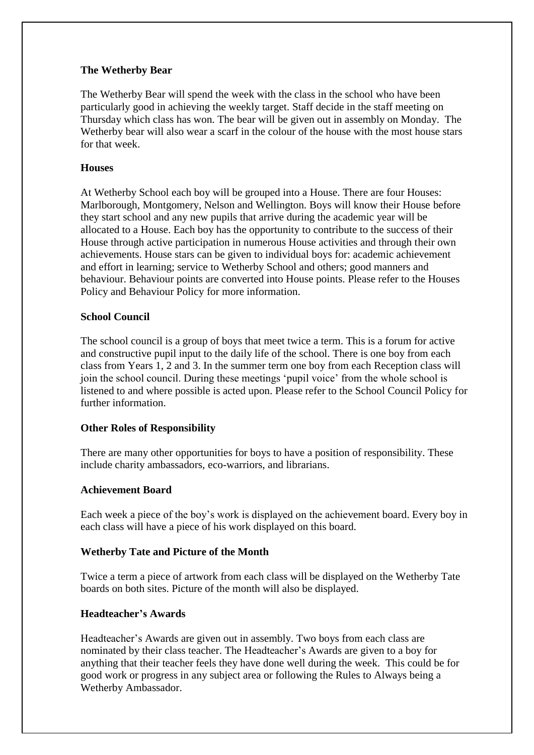# **The Wetherby Bear**

The Wetherby Bear will spend the week with the class in the school who have been particularly good in achieving the weekly target. Staff decide in the staff meeting on Thursday which class has won. The bear will be given out in assembly on Monday. The Wetherby bear will also wear a scarf in the colour of the house with the most house stars for that week.

#### **Houses**

At Wetherby School each boy will be grouped into a House. There are four Houses: Marlborough, Montgomery, Nelson and Wellington. Boys will know their House before they start school and any new pupils that arrive during the academic year will be allocated to a House. Each boy has the opportunity to contribute to the success of their House through active participation in numerous House activities and through their own achievements. House stars can be given to individual boys for: academic achievement and effort in learning; service to Wetherby School and others; good manners and behaviour. Behaviour points are converted into House points. Please refer to the Houses Policy and Behaviour Policy for more information.

## **School Council**

The school council is a group of boys that meet twice a term. This is a forum for active and constructive pupil input to the daily life of the school. There is one boy from each class from Years 1, 2 and 3. In the summer term one boy from each Reception class will join the school council. During these meetings 'pupil voice' from the whole school is listened to and where possible is acted upon. Please refer to the School Council Policy for further information.

# **Other Roles of Responsibility**

There are many other opportunities for boys to have a position of responsibility. These include charity ambassadors, eco-warriors, and librarians.

#### **Achievement Board**

Each week a piece of the boy's work is displayed on the achievement board. Every boy in each class will have a piece of his work displayed on this board.

# **Wetherby Tate and Picture of the Month**

Twice a term a piece of artwork from each class will be displayed on the Wetherby Tate boards on both sites. Picture of the month will also be displayed.

# **Headteacher's Awards**

Headteacher's Awards are given out in assembly. Two boys from each class are nominated by their class teacher. The Headteacher's Awards are given to a boy for anything that their teacher feels they have done well during the week. This could be for good work or progress in any subject area or following the Rules to Always being a Wetherby Ambassador.